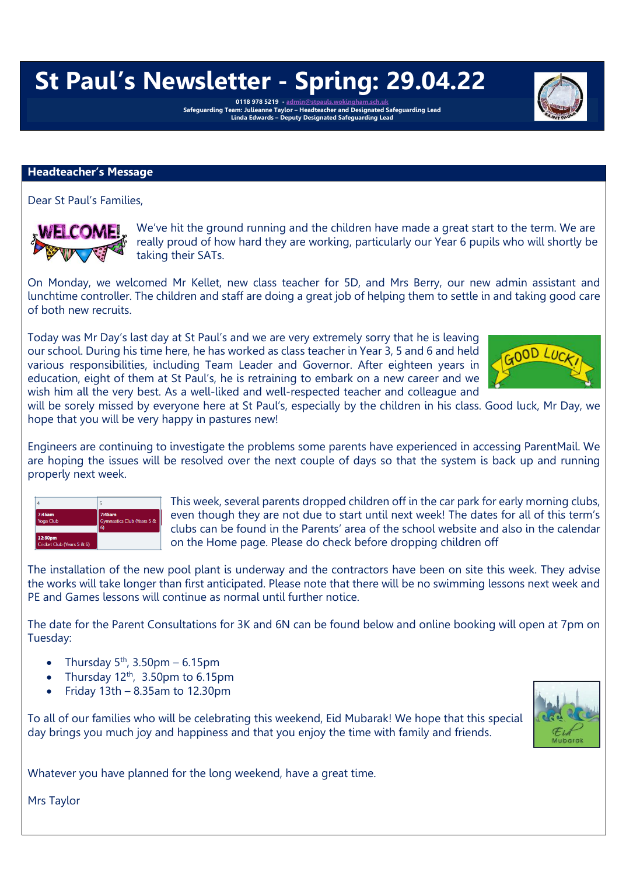# **St Paul's Newsletter - Spring: 29.04.22**

0118 978 5219 - <u>[admin@stpauls.wokingham.sch.uk](mailto:admin@stpauls.wokingham.sch.uk)</u><br>Safeguarding Team: Julieanne Taylor – Headteacher and Designated Safeguarding Lead<br>Linda Edwards – Deputy Designated Safeguarding Lead

#### **Headteacher's Message**

Dear St Paul's Families,

We've hit the ground running and the children have made a great start to the term. We are really proud of how hard they are working, particularly our Year 6 pupils who will shortly be taking their SATs.

On Monday, we welcomed Mr Kellet, new class teacher for 5D, and Mrs Berry, our new admin assistant and lunchtime controller. The children and staff are doing a great job of helping them to settle in and taking good care of both new recruits.

Today was Mr Day's last day at St Paul's and we are very extremely sorry that he is leaving our school. During his time here, he has worked as class teacher in Year 3, 5 and 6 and held various responsibilities, including Team Leader and Governor. After eighteen years in education, eight of them at St Paul's, he is retraining to embark on a new career and we wish him all the very best. As a well-liked and well-respected teacher and colleague and



will be sorely missed by everyone here at St Paul's, especially by the children in his class. Good luck, Mr Day, we hope that you will be very happy in pastures new!

Engineers are continuing to investigate the problems some parents have experienced in accessing ParentMail. We are hoping the issues will be resolved over the next couple of days so that the system is back up and running properly next week.



This week, several parents dropped children off in the car park for early morning clubs, even though they are not due to start until next week! The dates for all of this term's clubs can be found in the Parents' area of the school website and also in the calendar on the Home page. Please do check before dropping children off

The installation of the new pool plant is underway and the contractors have been on site this week. They advise the works will take longer than first anticipated. Please note that there will be no swimming lessons next week and PE and Games lessons will continue as normal until further notice.

The date for the Parent Consultations for 3K and 6N can be found below and online booking will open at 7pm on Tuesday:

- Thursday  $5<sup>th</sup>$ , 3.50pm 6.15pm
- Thursday  $12<sup>th</sup>$ , 3.50pm to 6.15pm
- Friday  $13th 8.35$ am to  $12.30$ pm

To all of our families who will be celebrating this weekend, Eid Mubarak! We hope that this special day brings you much joy and happiness and that you enjoy the time with family and friends.



Whatever you have planned for the long weekend, have a great time.

Mrs Taylor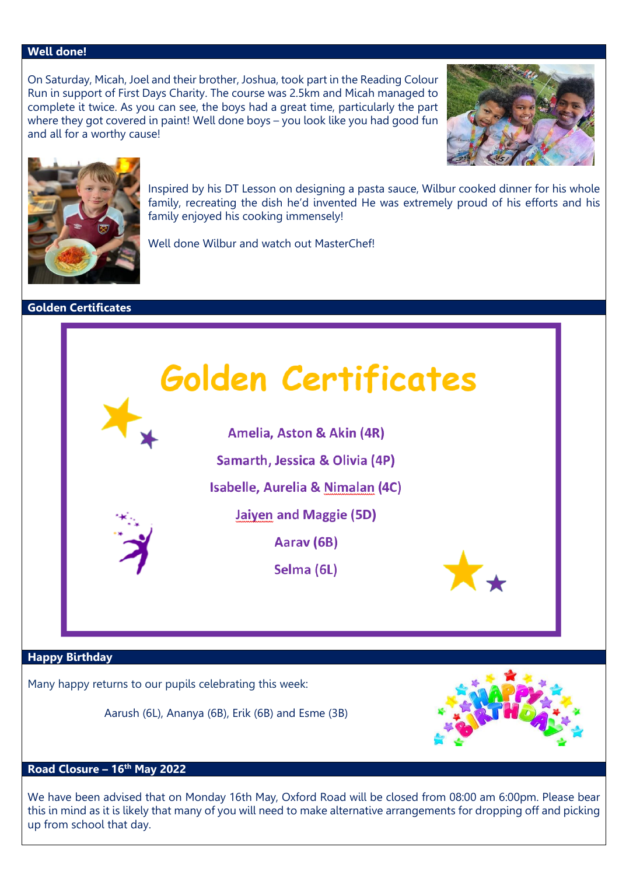## **Well done!**

On Saturday, Micah, Joel and their brother, Joshua, took part in the Reading Colour Run in support of First Days Charity. The course was 2.5km and Micah managed to complete it twice. As you can see, the boys had a great time, particularly the part where they got covered in paint! Well done boys – you look like you had good fun and all for a worthy cause!





Inspired by his DT Lesson on designing a pasta sauce, Wilbur cooked dinner for his whole family, recreating the dish he'd invented He was extremely proud of his efforts and his family enjoyed his cooking immensely!

Well done Wilbur and watch out MasterChef!

#### **Golden Certificates**

**Golden Certificates** 

Amelia, Aston & Akin (4R)

Samarth, Jessica & Olivia (4P)

Isabelle, Aurelia & Nimalan (4C)

**Jaiyen and Maggie (5D)** 

Aarav (6B)

Selma (6L)

#### **Happy Birthday**

Many happy returns to our pupils celebrating this week:

Aarush (6L), Ananya (6B), Erik (6B) and Esme (3B)



# **Road Closure – 16th May 2022**

We have been advised that on Monday 16th May, Oxford Road will be closed from 08:00 am 6:00pm. Please bear this in mind as it is likely that many of you will need to make alternative arrangements for dropping off and picking up from school that day.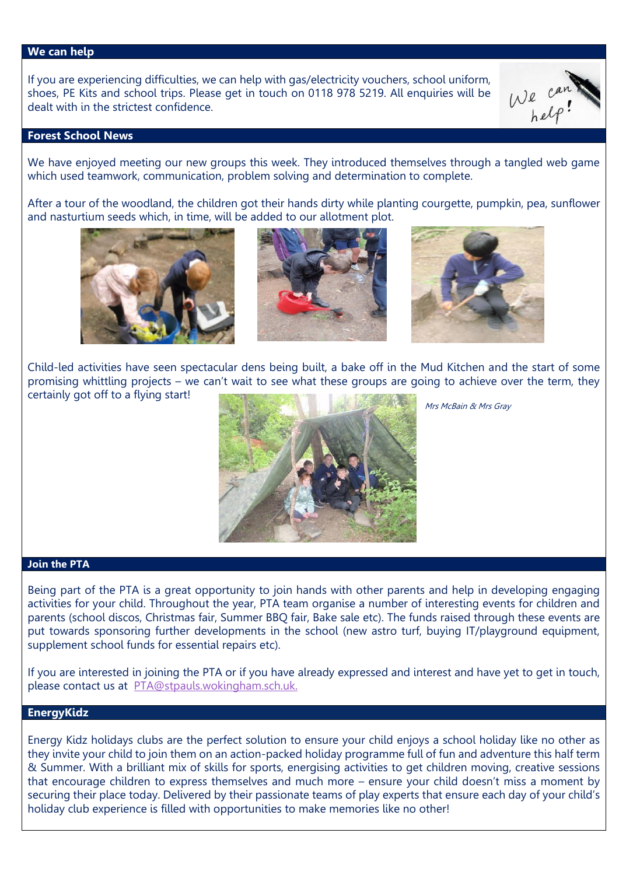#### **We can help**

If you are experiencing difficulties, we can help with gas/electricity vouchers, school uniform, shoes, PE Kits and school trips. Please get in touch on 0118 978 5219. All enquiries will be dealt with in the strictest confidence.



## **Forest School News**

We have enjoyed meeting our new groups this week. They introduced themselves through a tangled web game which used teamwork, communication, problem solving and determination to complete.

After a tour of the woodland, the children got their hands dirty while planting courgette, pumpkin, pea, sunflower and nasturtium seeds which, in time, will be added to our allotment plot.







Child-led activities have seen spectacular dens being built, a bake off in the Mud Kitchen and the start of some promising whittling projects – we can't wait to see what these groups are going to achieve over the term, they certainly got off to a flying start!



Mrs McBain & Mrs Gray

## **Join the PTA**

Being part of the PTA is a great opportunity to join hands with other parents and help in developing engaging activities for your child. Throughout the year, PTA team organise a number of interesting events for children and parents (school discos, Christmas fair, Summer BBQ fair, Bake sale etc). The funds raised through these events are put towards sponsoring further developments in the school (new astro turf, buying IT/playground equipment, supplement school funds for essential repairs etc).

If you are interested in joining the PTA or if you have already expressed and interest and have yet to get in touch, please contact us at [PTA@stpauls.wokingham.sch.uk.](mailto:PTA@stpauls.wokingham.sch.uk)

## **EnergyKidz**

Energy Kidz holidays clubs are the perfect solution to ensure your child enjoys a school holiday like no other as they invite your child to join them on an action-packed holiday programme full of fun and adventure this half term & Summer. With a brilliant mix of skills for sports, energising activities to get children moving, creative sessions that encourage children to express themselves and much more – ensure your child doesn't miss a moment by securing their place today. Delivered by their passionate teams of play experts that ensure each day of your child's holiday club experience is filled with opportunities to make memories like no other!